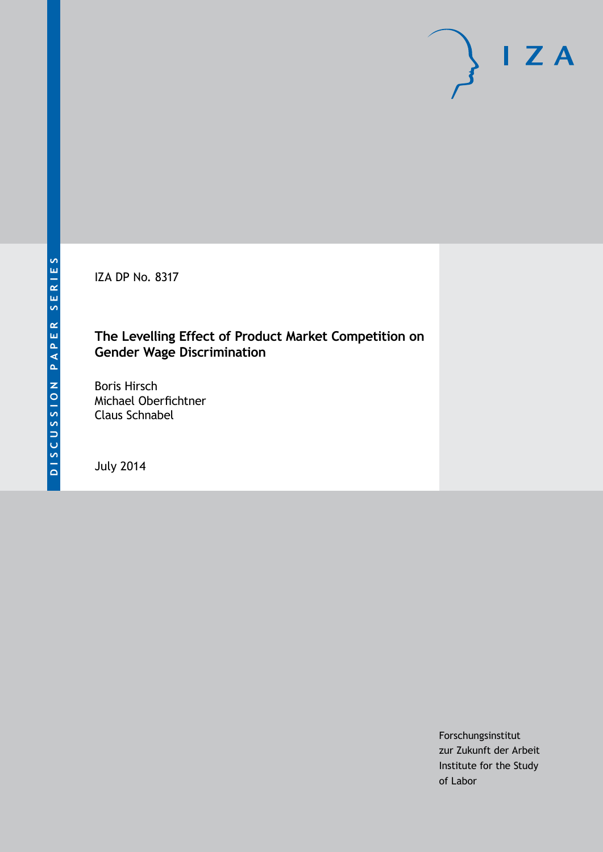IZA DP No. 8317

### **The Levelling Effect of Product Market Competition on Gender Wage Discrimination**

Boris Hirsch Michael Oberfichtner Claus Schnabel

July 2014

Forschungsinstitut zur Zukunft der Arbeit Institute for the Study of Labor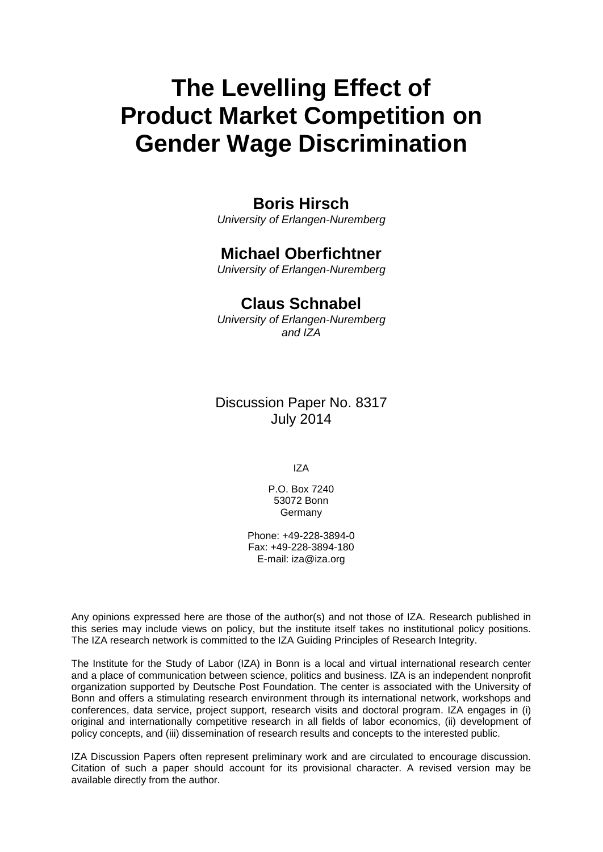# **The Levelling Effect of Product Market Competition on Gender Wage Discrimination**

# **Boris Hirsch**

*University of Erlangen-Nuremberg*

# **Michael Oberfichtner**

*University of Erlangen-Nuremberg*

# **Claus Schnabel**

*University of Erlangen-Nuremberg and IZA*

### Discussion Paper No. 8317 July 2014

IZA

P.O. Box 7240 53072 Bonn **Germany** 

Phone: +49-228-3894-0 Fax: +49-228-3894-180 E-mail: [iza@iza.org](mailto:iza@iza.org)

Any opinions expressed here are those of the author(s) and not those of IZA. Research published in this series may include views on policy, but the institute itself takes no institutional policy positions. The IZA research network is committed to the IZA Guiding Principles of Research Integrity.

The Institute for the Study of Labor (IZA) in Bonn is a local and virtual international research center and a place of communication between science, politics and business. IZA is an independent nonprofit organization supported by Deutsche Post Foundation. The center is associated with the University of Bonn and offers a stimulating research environment through its international network, workshops and conferences, data service, project support, research visits and doctoral program. IZA engages in (i) original and internationally competitive research in all fields of labor economics, (ii) development of policy concepts, and (iii) dissemination of research results and concepts to the interested public.

<span id="page-1-0"></span>IZA Discussion Papers often represent preliminary work and are circulated to encourage discussion. Citation of such a paper should account for its provisional character. A revised version may be available directly from the author.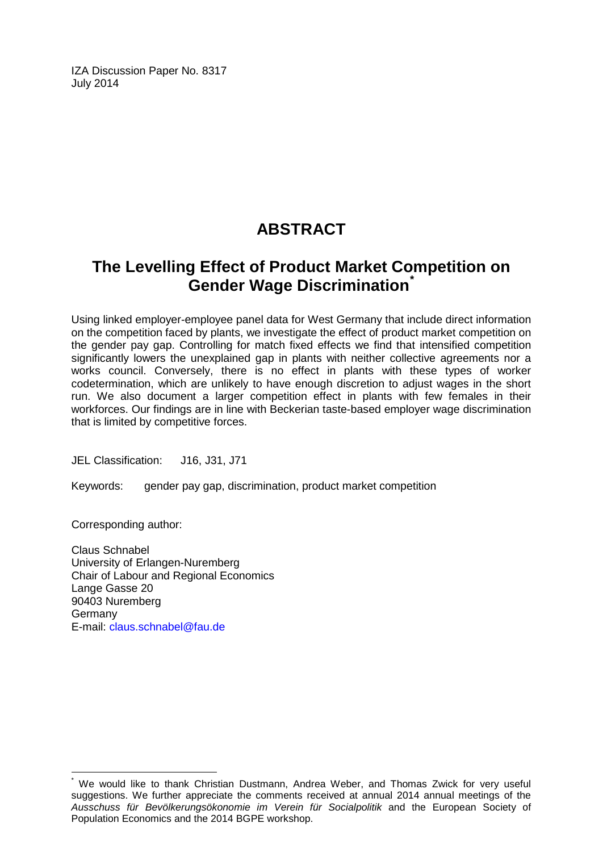IZA Discussion Paper No. 8317 July 2014

# **ABSTRACT**

# **The Levelling Effect of Product Market Competition on Gender Wage Discrimination[\\*](#page-1-0)**

Using linked employer-employee panel data for West Germany that include direct information on the competition faced by plants, we investigate the effect of product market competition on the gender pay gap. Controlling for match fixed effects we find that intensified competition significantly lowers the unexplained gap in plants with neither collective agreements nor a works council. Conversely, there is no effect in plants with these types of worker codetermination, which are unlikely to have enough discretion to adjust wages in the short run. We also document a larger competition effect in plants with few females in their workforces. Our findings are in line with Beckerian taste-based employer wage discrimination that is limited by competitive forces.

JEL Classification: J16, J31, J71

Keywords: gender pay gap, discrimination, product market competition

Corresponding author:

Claus Schnabel University of Erlangen-Nuremberg Chair of Labour and Regional Economics Lange Gasse 20 90403 Nuremberg **Germany** E-mail: [claus.schnabel@fau.de](mailto:claus.schnabel@fau.de)

We would like to thank Christian Dustmann, Andrea Weber, and Thomas Zwick for very useful suggestions. We further appreciate the comments received at annual 2014 annual meetings of the *Ausschuss für Bevölkerungsökonomie im Verein für Socialpolitik* and the European Society of Population Economics and the 2014 BGPE workshop.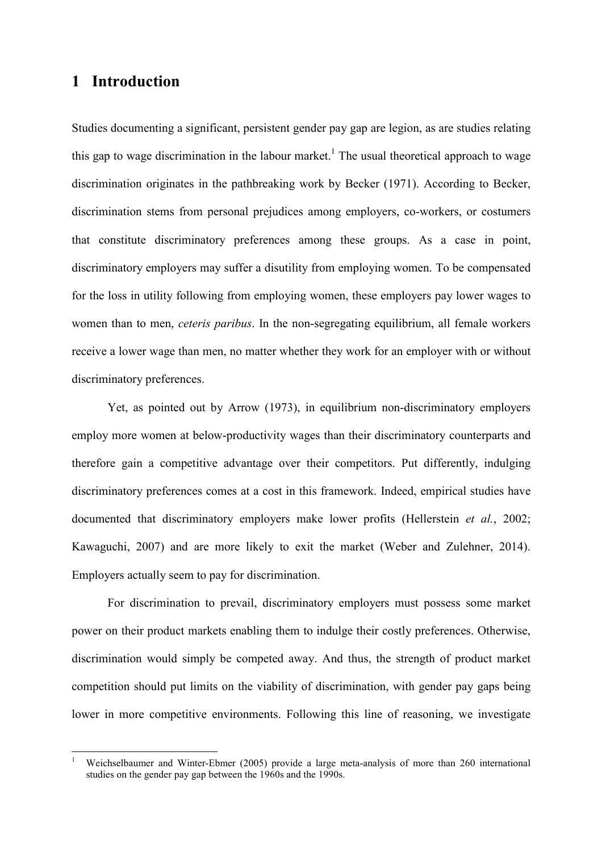### **1 Introduction**

 $\overline{a}$ 

Studies documenting a significant, persistent gender pay gap are legion, as are studies relating this gap to wage discrimination in the labour market.<sup>1</sup> The usual theoretical approach to wage discrimination originates in the pathbreaking work by Becker (1971). According to Becker, discrimination stems from personal prejudices among employers, co-workers, or costumers that constitute discriminatory preferences among these groups. As a case in point, discriminatory employers may suffer a disutility from employing women. To be compensated for the loss in utility following from employing women, these employers pay lower wages to women than to men, *ceteris paribus*. In the non-segregating equilibrium, all female workers receive a lower wage than men, no matter whether they work for an employer with or without discriminatory preferences.

Yet, as pointed out by Arrow (1973), in equilibrium non-discriminatory employers employ more women at below-productivity wages than their discriminatory counterparts and therefore gain a competitive advantage over their competitors. Put differently, indulging discriminatory preferences comes at a cost in this framework. Indeed, empirical studies have documented that discriminatory employers make lower profits (Hellerstein *et al.*, 2002; Kawaguchi, 2007) and are more likely to exit the market (Weber and Zulehner, 2014). Employers actually seem to pay for discrimination.

For discrimination to prevail, discriminatory employers must possess some market power on their product markets enabling them to indulge their costly preferences. Otherwise, discrimination would simply be competed away. And thus, the strength of product market competition should put limits on the viability of discrimination, with gender pay gaps being lower in more competitive environments. Following this line of reasoning, we investigate

<sup>1</sup> Weichselbaumer and Winter-Ebmer (2005) provide a large meta-analysis of more than 260 international studies on the gender pay gap between the 1960s and the 1990s.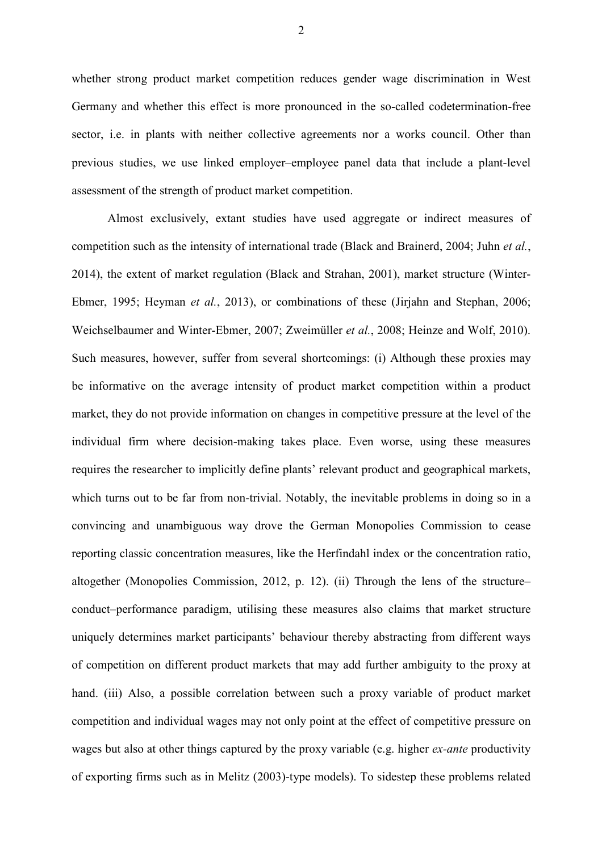whether strong product market competition reduces gender wage discrimination in West Germany and whether this effect is more pronounced in the so-called codetermination-free sector, i.e. in plants with neither collective agreements nor a works council. Other than previous studies, we use linked employer–employee panel data that include a plant-level assessment of the strength of product market competition.

Almost exclusively, extant studies have used aggregate or indirect measures of competition such as the intensity of international trade (Black and Brainerd, 2004; Juhn *et al.*, 2014), the extent of market regulation (Black and Strahan, 2001), market structure (Winter-Ebmer, 1995; Heyman *et al.*, 2013), or combinations of these (Jirjahn and Stephan, 2006; Weichselbaumer and Winter-Ebmer, 2007; Zweimüller *et al.*, 2008; Heinze and Wolf, 2010). Such measures, however, suffer from several shortcomings: (i) Although these proxies may be informative on the average intensity of product market competition within a product market, they do not provide information on changes in competitive pressure at the level of the individual firm where decision-making takes place. Even worse, using these measures requires the researcher to implicitly define plants' relevant product and geographical markets, which turns out to be far from non-trivial. Notably, the inevitable problems in doing so in a convincing and unambiguous way drove the German Monopolies Commission to cease reporting classic concentration measures, like the Herfindahl index or the concentration ratio, altogether (Monopolies Commission, 2012, p. 12). (ii) Through the lens of the structure– conduct–performance paradigm, utilising these measures also claims that market structure uniquely determines market participants' behaviour thereby abstracting from different ways of competition on different product markets that may add further ambiguity to the proxy at hand. (iii) Also, a possible correlation between such a proxy variable of product market competition and individual wages may not only point at the effect of competitive pressure on wages but also at other things captured by the proxy variable (e.g. higher *ex-ante* productivity of exporting firms such as in Melitz (2003)-type models). To sidestep these problems related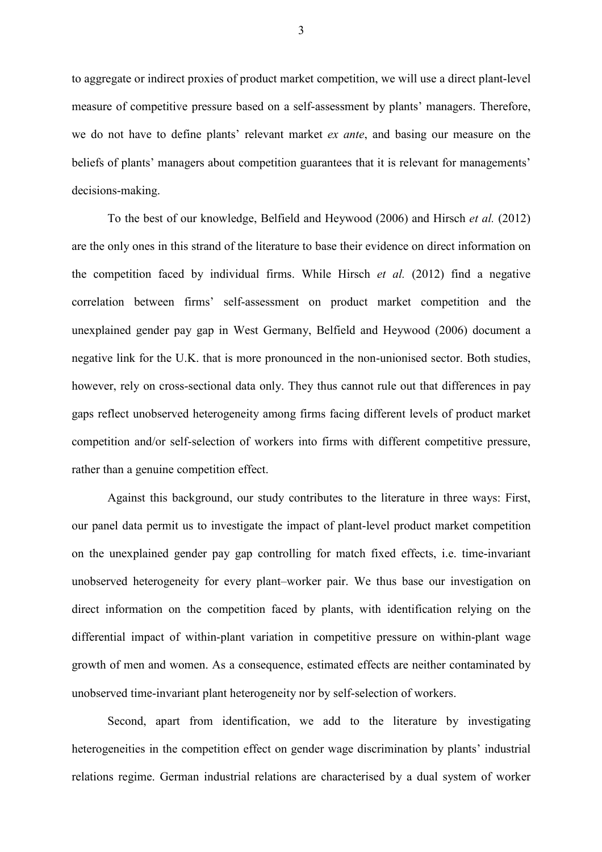to aggregate or indirect proxies of product market competition, we will use a direct plant-level measure of competitive pressure based on a self-assessment by plants' managers. Therefore, we do not have to define plants' relevant market *ex ante*, and basing our measure on the beliefs of plants' managers about competition guarantees that it is relevant for managements' decisions-making.

To the best of our knowledge, Belfield and Heywood (2006) and Hirsch *et al.* (2012) are the only ones in this strand of the literature to base their evidence on direct information on the competition faced by individual firms. While Hirsch *et al.* (2012) find a negative correlation between firms' self-assessment on product market competition and the unexplained gender pay gap in West Germany, Belfield and Heywood (2006) document a negative link for the U.K. that is more pronounced in the non-unionised sector. Both studies, however, rely on cross-sectional data only. They thus cannot rule out that differences in pay gaps reflect unobserved heterogeneity among firms facing different levels of product market competition and/or self-selection of workers into firms with different competitive pressure, rather than a genuine competition effect.

Against this background, our study contributes to the literature in three ways: First, our panel data permit us to investigate the impact of plant-level product market competition on the unexplained gender pay gap controlling for match fixed effects, i.e. time-invariant unobserved heterogeneity for every plant–worker pair. We thus base our investigation on direct information on the competition faced by plants, with identification relying on the differential impact of within-plant variation in competitive pressure on within-plant wage growth of men and women. As a consequence, estimated effects are neither contaminated by unobserved time-invariant plant heterogeneity nor by self-selection of workers.

Second, apart from identification, we add to the literature by investigating heterogeneities in the competition effect on gender wage discrimination by plants' industrial relations regime. German industrial relations are characterised by a dual system of worker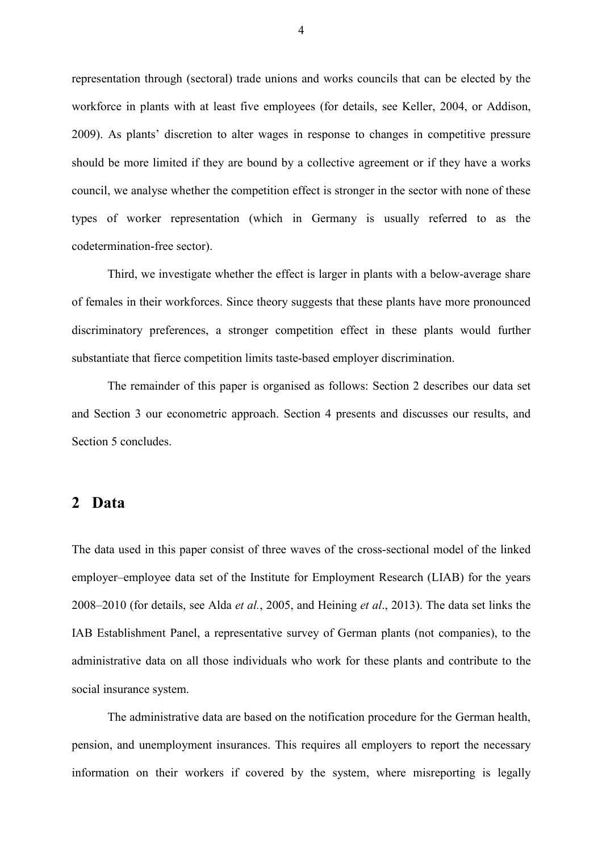representation through (sectoral) trade unions and works councils that can be elected by the workforce in plants with at least five employees (for details, see Keller, 2004, or Addison, 2009). As plants' discretion to alter wages in response to changes in competitive pressure should be more limited if they are bound by a collective agreement or if they have a works council, we analyse whether the competition effect is stronger in the sector with none of these types of worker representation (which in Germany is usually referred to as the codetermination-free sector).

Third, we investigate whether the effect is larger in plants with a below-average share of females in their workforces. Since theory suggests that these plants have more pronounced discriminatory preferences, a stronger competition effect in these plants would further substantiate that fierce competition limits taste-based employer discrimination.

The remainder of this paper is organised as follows: Section 2 describes our data set and Section 3 our econometric approach. Section 4 presents and discusses our results, and Section 5 concludes.

#### **2 Data**

The data used in this paper consist of three waves of the cross-sectional model of the linked employer–employee data set of the Institute for Employment Research (LIAB) for the years 2008–2010 (for details, see Alda *et al.*, 2005, and Heining *et al*., 2013). The data set links the IAB Establishment Panel, a representative survey of German plants (not companies), to the administrative data on all those individuals who work for these plants and contribute to the social insurance system.

The administrative data are based on the notification procedure for the German health, pension, and unemployment insurances. This requires all employers to report the necessary information on their workers if covered by the system, where misreporting is legally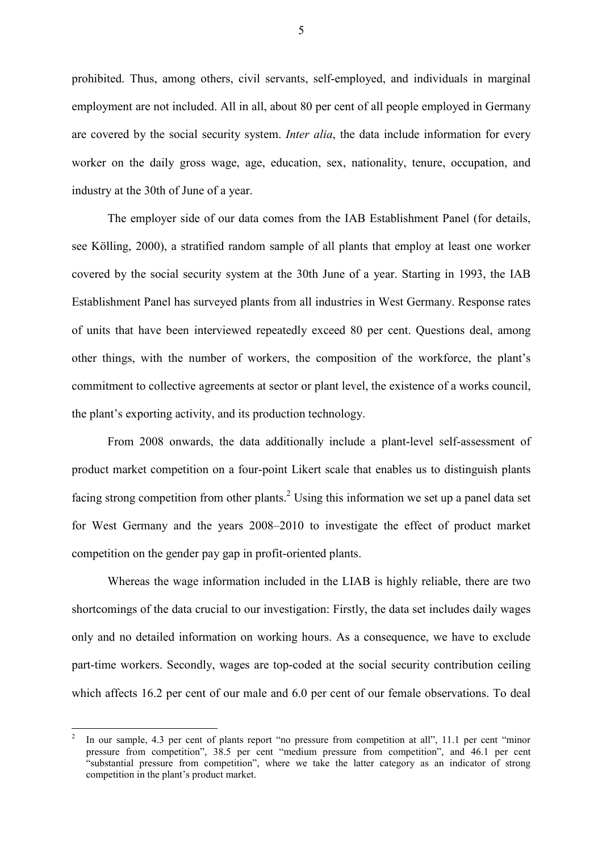prohibited. Thus, among others, civil servants, self-employed, and individuals in marginal employment are not included. All in all, about 80 per cent of all people employed in Germany are covered by the social security system. *Inter alia*, the data include information for every worker on the daily gross wage, age, education, sex, nationality, tenure, occupation, and industry at the 30th of June of a year.

The employer side of our data comes from the IAB Establishment Panel (for details, see Kölling, 2000), a stratified random sample of all plants that employ at least one worker covered by the social security system at the 30th June of a year. Starting in 1993, the IAB Establishment Panel has surveyed plants from all industries in West Germany. Response rates of units that have been interviewed repeatedly exceed 80 per cent. Questions deal, among other things, with the number of workers, the composition of the workforce, the plant's commitment to collective agreements at sector or plant level, the existence of a works council, the plant's exporting activity, and its production technology.

From 2008 onwards, the data additionally include a plant-level self-assessment of product market competition on a four-point Likert scale that enables us to distinguish plants facing strong competition from other plants.<sup>2</sup> Using this information we set up a panel data set for West Germany and the years 2008–2010 to investigate the effect of product market competition on the gender pay gap in profit-oriented plants.

Whereas the wage information included in the LIAB is highly reliable, there are two shortcomings of the data crucial to our investigation: Firstly, the data set includes daily wages only and no detailed information on working hours. As a consequence, we have to exclude part-time workers. Secondly, wages are top-coded at the social security contribution ceiling which affects 16.2 per cent of our male and 6.0 per cent of our female observations. To deal

 $\overline{a}$ 

<sup>2</sup> In our sample, 4.3 per cent of plants report "no pressure from competition at all", 11.1 per cent "minor pressure from competition", 38.5 per cent "medium pressure from competition", and 46.1 per cent "substantial pressure from competition", where we take the latter category as an indicator of strong competition in the plant's product market.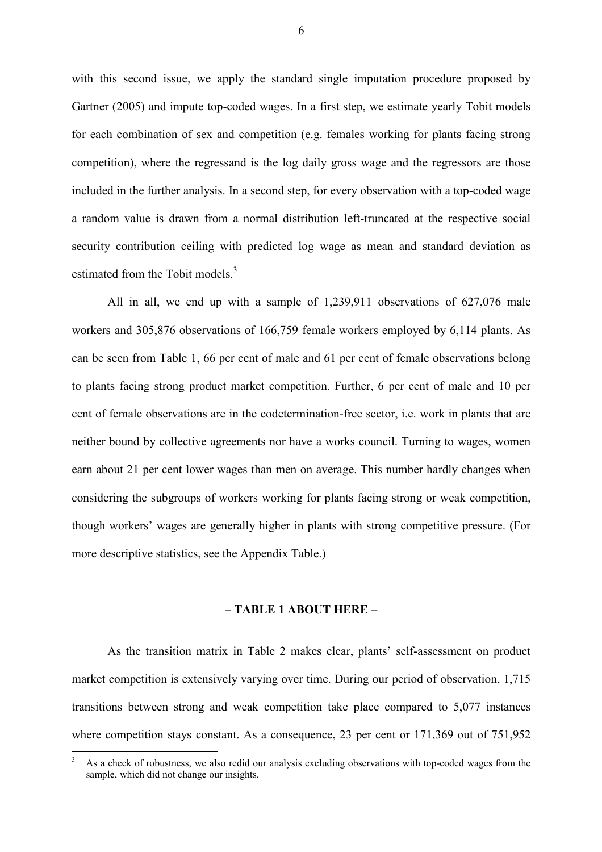with this second issue, we apply the standard single imputation procedure proposed by Gartner (2005) and impute top-coded wages. In a first step, we estimate yearly Tobit models for each combination of sex and competition (e.g. females working for plants facing strong competition), where the regressand is the log daily gross wage and the regressors are those included in the further analysis. In a second step, for every observation with a top-coded wage a random value is drawn from a normal distribution left-truncated at the respective social security contribution ceiling with predicted log wage as mean and standard deviation as estimated from the Tobit models.<sup>3</sup>

All in all, we end up with a sample of 1,239,911 observations of 627,076 male workers and 305,876 observations of 166,759 female workers employed by 6,114 plants. As can be seen from Table 1, 66 per cent of male and 61 per cent of female observations belong to plants facing strong product market competition. Further, 6 per cent of male and 10 per cent of female observations are in the codetermination-free sector, i.e. work in plants that are neither bound by collective agreements nor have a works council. Turning to wages, women earn about 21 per cent lower wages than men on average. This number hardly changes when considering the subgroups of workers working for plants facing strong or weak competition, though workers' wages are generally higher in plants with strong competitive pressure. (For more descriptive statistics, see the Appendix Table.)

#### **– TABLE 1 ABOUT HERE –**

As the transition matrix in Table 2 makes clear, plants' self-assessment on product market competition is extensively varying over time. During our period of observation, 1,715 transitions between strong and weak competition take place compared to 5,077 instances where competition stays constant. As a consequence, 23 per cent or 171,369 out of 751,952

 $\overline{a}$ 

<sup>3</sup> As a check of robustness, we also redid our analysis excluding observations with top-coded wages from the sample, which did not change our insights.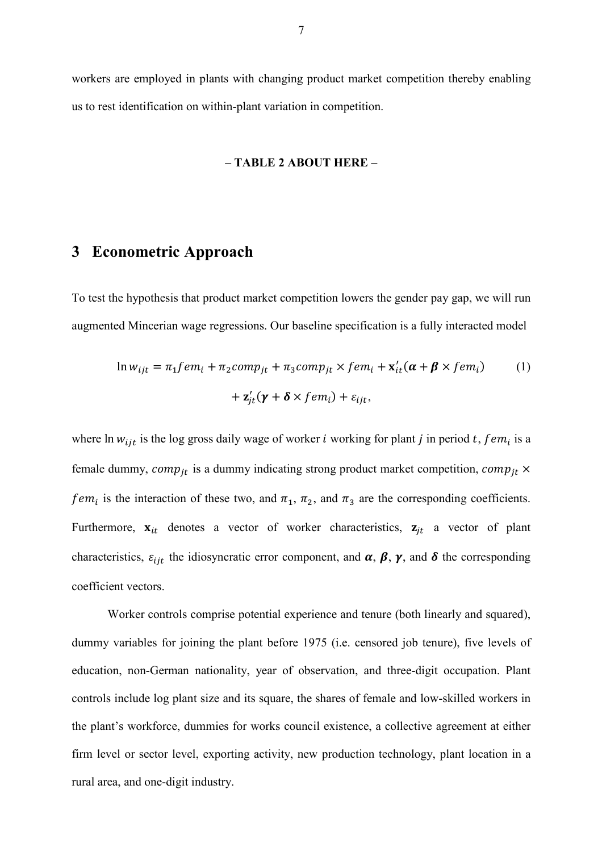workers are employed in plants with changing product market competition thereby enabling us to rest identification on within-plant variation in competition.

#### **– TABLE 2 ABOUT HERE –**

### **3 Econometric Approach**

To test the hypothesis that product market competition lowers the gender pay gap, we will run augmented Mincerian wage regressions. Our baseline specification is a fully interacted model

$$
\ln w_{ijt} = \pi_1 f e m_i + \pi_2 comp_{jt} + \pi_3 comp_{jt} \times f e m_i + \mathbf{x}'_{it} (\boldsymbol{\alpha} + \boldsymbol{\beta} \times f e m_i)
$$
(1)  
+  $\mathbf{z}'_{jt} (\boldsymbol{\gamma} + \boldsymbol{\delta} \times f e m_i) + \varepsilon_{ijt},$ 

where  $\ln w_{ijt}$  is the log gross daily wage of worker *i* working for plant *j* in period *t*, *fem<sub>i</sub>* is a female dummy,  $comp_{it}$  is a dummy indicating strong product market competition,  $comp_{it} \times$ fem<sub>i</sub> is the interaction of these two, and  $\pi_1$ ,  $\pi_2$ , and  $\pi_3$  are the corresponding coefficients. Furthermore,  $x_{it}$  denotes a vector of worker characteristics,  $z_{it}$  a vector of plant characteristics,  $\varepsilon_{ijt}$  the idiosyncratic error component, and  $\alpha$ ,  $\beta$ ,  $\gamma$ , and  $\delta$  the corresponding coefficient vectors.

Worker controls comprise potential experience and tenure (both linearly and squared). dummy variables for joining the plant before 1975 (i.e. censored job tenure), five levels of education, non-German nationality, year of observation, and three-digit occupation. Plant controls include log plant size and its square, the shares of female and low-skilled workers in the plant's workforce, dummies for works council existence, a collective agreement at either firm level or sector level, exporting activity, new production technology, plant location in a rural area, and one-digit industry.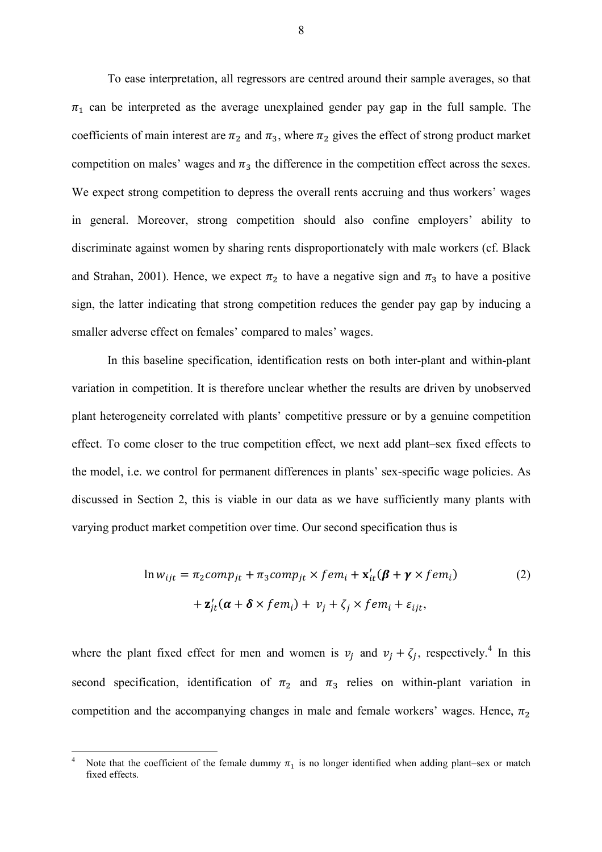To ease interpretation, all regressors are centred around their sample averages, so that  $\pi_1$  can be interpreted as the average unexplained gender pay gap in the full sample. The coefficients of main interest are  $\pi_2$  and  $\pi_3$ , where  $\pi_2$  gives the effect of strong product market competition on males' wages and  $\pi_3$  the difference in the competition effect across the sexes. We expect strong competition to depress the overall rents accruing and thus workers' wages in general. Moreover, strong competition should also confine employers' ability to discriminate against women by sharing rents disproportionately with male workers (cf. Black and Strahan, 2001). Hence, we expect  $\pi_2$  to have a negative sign and  $\pi_3$  to have a positive sign, the latter indicating that strong competition reduces the gender pay gap by inducing a smaller adverse effect on females' compared to males' wages.

In this baseline specification, identification rests on both inter-plant and within-plant variation in competition. It is therefore unclear whether the results are driven by unobserved plant heterogeneity correlated with plants' competitive pressure or by a genuine competition effect. To come closer to the true competition effect, we next add plant–sex fixed effects to the model, i.e. we control for permanent differences in plants' sex-specific wage policies. As discussed in Section 2, this is viable in our data as we have sufficiently many plants with varying product market competition over time. Our second specification thus is

$$
\ln w_{ijt} = \pi_2 comp_{jt} + \pi_3 comp_{jt} \times fem_i + \mathbf{x}'_{it} (\boldsymbol{\beta} + \boldsymbol{\gamma} \times fem_i)
$$
  
+  $\mathbf{z}'_{jt} (\boldsymbol{\alpha} + \boldsymbol{\delta} \times fem_i) + v_j + \zeta_j \times fem_i + \varepsilon_{ijt},$  (2)

where the plant fixed effect for men and women is  $v_j$  and  $v_j + \zeta_j$ , respectively.<sup>4</sup> In this second specification, identification of  $\pi_2$  and  $\pi_3$  relies on within-plant variation in competition and the accompanying changes in male and female workers' wages. Hence,  $\pi_2$ 

 $\overline{a}$ 

<sup>4</sup> Note that the coefficient of the female dummy  $\pi_1$  is no longer identified when adding plant–sex or match fixed effects.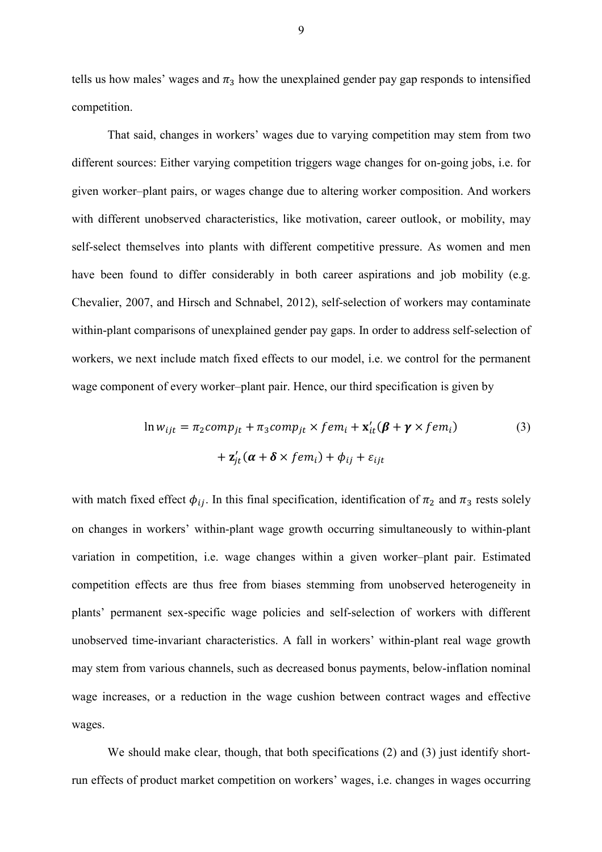tells us how males' wages and  $\pi_3$  how the unexplained gender pay gap responds to intensified competition.

That said, changes in workers' wages due to varying competition may stem from two different sources: Either varying competition triggers wage changes for on-going jobs, i.e. for given worker–plant pairs, or wages change due to altering worker composition. And workers with different unobserved characteristics, like motivation, career outlook, or mobility, may self-select themselves into plants with different competitive pressure. As women and men have been found to differ considerably in both career aspirations and job mobility (e.g. Chevalier, 2007, and Hirsch and Schnabel, 2012), self-selection of workers may contaminate within-plant comparisons of unexplained gender pay gaps. In order to address self-selection of workers, we next include match fixed effects to our model, i.e. we control for the permanent wage component of every worker–plant pair. Hence, our third specification is given by

$$
\ln w_{ijt} = \pi_2 comp_{jt} + \pi_3 comp_{jt} \times fem_i + \mathbf{x}'_{it} (\boldsymbol{\beta} + \boldsymbol{\gamma} \times fem_i)
$$
  
+  $\mathbf{z}'_{jt} (\boldsymbol{\alpha} + \boldsymbol{\delta} \times fem_i) + \phi_{ij} + \varepsilon_{ijt}$  (3)

with match fixed effect  $\phi_{ij}$ . In this final specification, identification of  $\pi_2$  and  $\pi_3$  rests solely on changes in workers' within-plant wage growth occurring simultaneously to within-plant variation in competition, i.e. wage changes within a given worker–plant pair. Estimated competition effects are thus free from biases stemming from unobserved heterogeneity in plants' permanent sex-specific wage policies and self-selection of workers with different unobserved time-invariant characteristics. A fall in workers' within-plant real wage growth may stem from various channels, such as decreased bonus payments, below-inflation nominal wage increases, or a reduction in the wage cushion between contract wages and effective wages.

We should make clear, though, that both specifications (2) and (3) just identify shortrun effects of product market competition on workers' wages, i.e. changes in wages occurring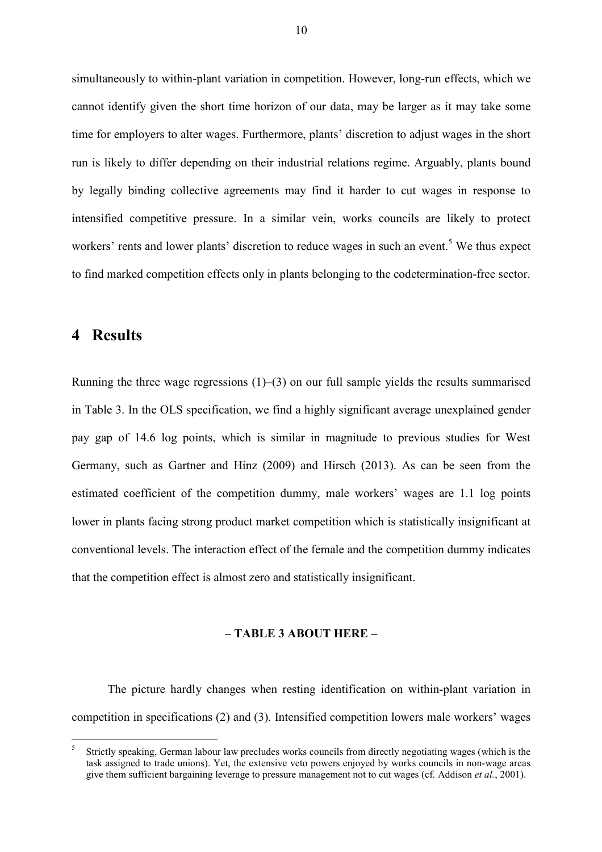simultaneously to within-plant variation in competition. However, long-run effects, which we cannot identify given the short time horizon of our data, may be larger as it may take some time for employers to alter wages. Furthermore, plants' discretion to adjust wages in the short run is likely to differ depending on their industrial relations regime. Arguably, plants bound by legally binding collective agreements may find it harder to cut wages in response to intensified competitive pressure. In a similar vein, works councils are likely to protect workers' rents and lower plants' discretion to reduce wages in such an event.<sup>5</sup> We thus expect to find marked competition effects only in plants belonging to the codetermination-free sector.

#### **4 Results**

 $\overline{a}$ 

Running the three wage regressions  $(1)$ – $(3)$  on our full sample yields the results summarised in Table 3. In the OLS specification, we find a highly significant average unexplained gender pay gap of 14.6 log points, which is similar in magnitude to previous studies for West Germany, such as Gartner and Hinz (2009) and Hirsch (2013). As can be seen from the estimated coefficient of the competition dummy, male workers' wages are 1.1 log points lower in plants facing strong product market competition which is statistically insignificant at conventional levels. The interaction effect of the female and the competition dummy indicates that the competition effect is almost zero and statistically insignificant.

#### **– TABLE 3 ABOUT HERE –**

The picture hardly changes when resting identification on within-plant variation in competition in specifications (2) and (3). Intensified competition lowers male workers' wages

<sup>5</sup> Strictly speaking, German labour law precludes works councils from directly negotiating wages (which is the task assigned to trade unions). Yet, the extensive veto powers enjoyed by works councils in non-wage areas give them sufficient bargaining leverage to pressure management not to cut wages (cf. Addison *et al.*, 2001).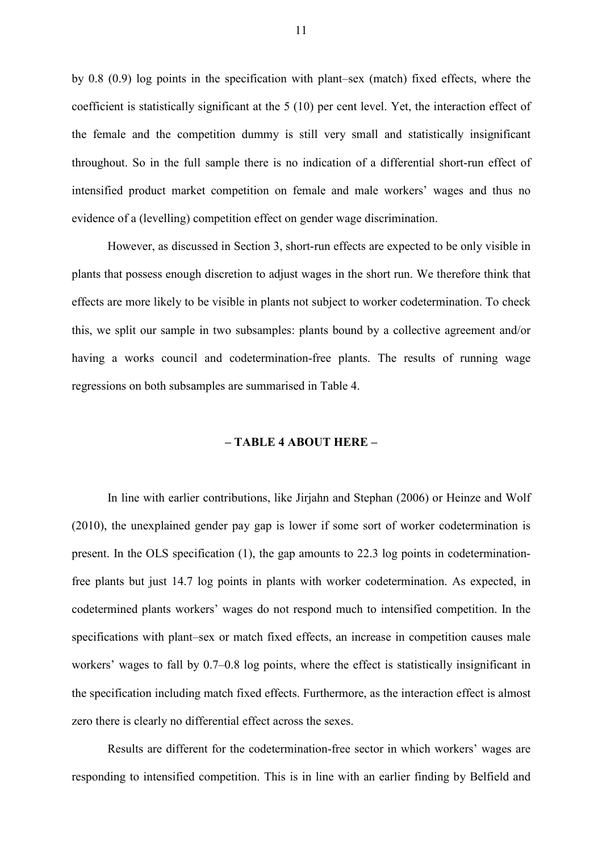by 0.8 (0.9) log points in the specification with plant–sex (match) fixed effects, where the coefficient is statistically significant at the 5 (10) per cent level. Yet, the interaction effect of the female and the competition dummy is still very small and statistically insignificant throughout. So in the full sample there is no indication of a differential short-run effect of intensified product market competition on female and male workers' wages and thus no evidence of a (levelling) competition effect on gender wage discrimination.

However, as discussed in Section 3, short-run effects are expected to be only visible in plants that possess enough discretion to adjust wages in the short run. We therefore think that effects are more likely to be visible in plants not subject to worker codetermination. To check this, we split our sample in two subsamples: plants bound by a collective agreement and/or having a works council and codetermination-free plants. The results of running wage regressions on both subsamples are summarised in Table 4.

#### **– TABLE 4 ABOUT HERE –**

In line with earlier contributions, like Jirjahn and Stephan (2006) or Heinze and Wolf (2010), the unexplained gender pay gap is lower if some sort of worker codetermination is present. In the OLS specification (1), the gap amounts to 22.3 log points in codeterminationfree plants but just 14.7 log points in plants with worker codetermination. As expected, in codetermined plants workers' wages do not respond much to intensified competition. In the specifications with plant–sex or match fixed effects, an increase in competition causes male workers' wages to fall by 0.7–0.8 log points, where the effect is statistically insignificant in the specification including match fixed effects. Furthermore, as the interaction effect is almost zero there is clearly no differential effect across the sexes.

Results are different for the codetermination-free sector in which workers' wages are responding to intensified competition. This is in line with an earlier finding by Belfield and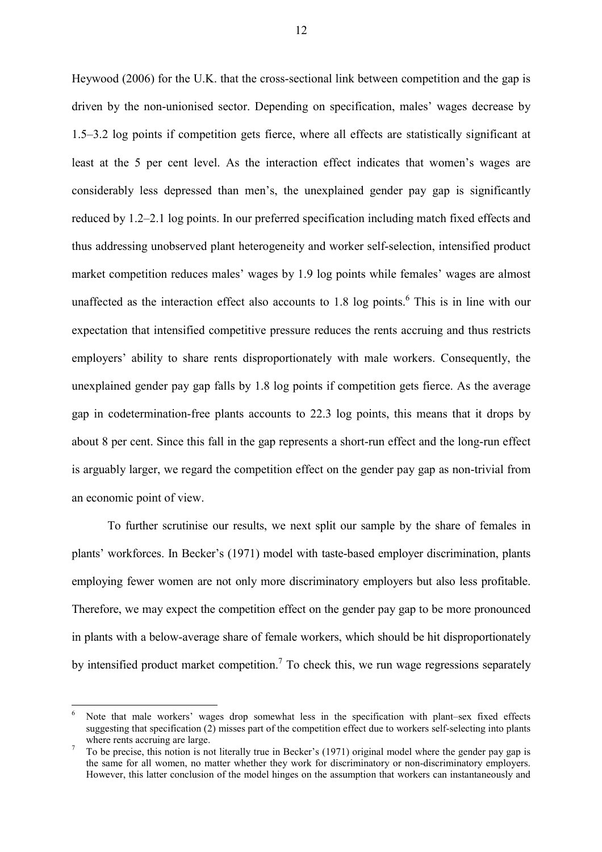Heywood (2006) for the U.K. that the cross-sectional link between competition and the gap is driven by the non-unionised sector. Depending on specification, males' wages decrease by 1.5–3.2 log points if competition gets fierce, where all effects are statistically significant at least at the 5 per cent level. As the interaction effect indicates that women's wages are considerably less depressed than men's, the unexplained gender pay gap is significantly reduced by 1.2–2.1 log points. In our preferred specification including match fixed effects and thus addressing unobserved plant heterogeneity and worker self-selection, intensified product market competition reduces males' wages by 1.9 log points while females' wages are almost unaffected as the interaction effect also accounts to 1.8 log points.<sup>6</sup> This is in line with our expectation that intensified competitive pressure reduces the rents accruing and thus restricts employers' ability to share rents disproportionately with male workers. Consequently, the unexplained gender pay gap falls by 1.8 log points if competition gets fierce. As the average gap in codetermination-free plants accounts to 22.3 log points, this means that it drops by about 8 per cent. Since this fall in the gap represents a short-run effect and the long-run effect is arguably larger, we regard the competition effect on the gender pay gap as non-trivial from an economic point of view.

To further scrutinise our results, we next split our sample by the share of females in plants' workforces. In Becker's (1971) model with taste-based employer discrimination, plants employing fewer women are not only more discriminatory employers but also less profitable. Therefore, we may expect the competition effect on the gender pay gap to be more pronounced in plants with a below-average share of female workers, which should be hit disproportionately by intensified product market competition.<sup>7</sup> To check this, we run wage regressions separately

 $\overline{a}$ 

<sup>6</sup> Note that male workers' wages drop somewhat less in the specification with plant–sex fixed effects suggesting that specification (2) misses part of the competition effect due to workers self-selecting into plants where rents accruing are large.

<sup>7</sup> To be precise, this notion is not literally true in Becker's (1971) original model where the gender pay gap is the same for all women, no matter whether they work for discriminatory or non-discriminatory employers. However, this latter conclusion of the model hinges on the assumption that workers can instantaneously and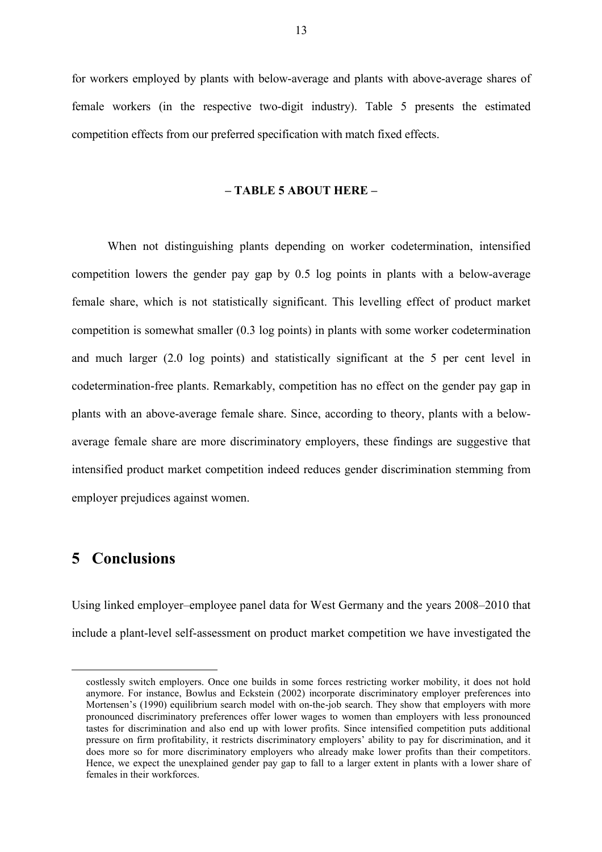for workers employed by plants with below-average and plants with above-average shares of female workers (in the respective two-digit industry). Table 5 presents the estimated competition effects from our preferred specification with match fixed effects.

#### **– TABLE 5 ABOUT HERE –**

When not distinguishing plants depending on worker codetermination, intensified competition lowers the gender pay gap by 0.5 log points in plants with a below-average female share, which is not statistically significant. This levelling effect of product market competition is somewhat smaller (0.3 log points) in plants with some worker codetermination and much larger (2.0 log points) and statistically significant at the 5 per cent level in codetermination-free plants. Remarkably, competition has no effect on the gender pay gap in plants with an above-average female share. Since, according to theory, plants with a belowaverage female share are more discriminatory employers, these findings are suggestive that intensified product market competition indeed reduces gender discrimination stemming from employer prejudices against women.

#### **5 Conclusions**

 $\overline{a}$ 

Using linked employer–employee panel data for West Germany and the years 2008–2010 that include a plant-level self-assessment on product market competition we have investigated the

costlessly switch employers. Once one builds in some forces restricting worker mobility, it does not hold anymore. For instance, Bowlus and Eckstein (2002) incorporate discriminatory employer preferences into Mortensen's (1990) equilibrium search model with on-the-job search. They show that employers with more pronounced discriminatory preferences offer lower wages to women than employers with less pronounced tastes for discrimination and also end up with lower profits. Since intensified competition puts additional pressure on firm profitability, it restricts discriminatory employers' ability to pay for discrimination, and it does more so for more discriminatory employers who already make lower profits than their competitors. Hence, we expect the unexplained gender pay gap to fall to a larger extent in plants with a lower share of females in their workforces.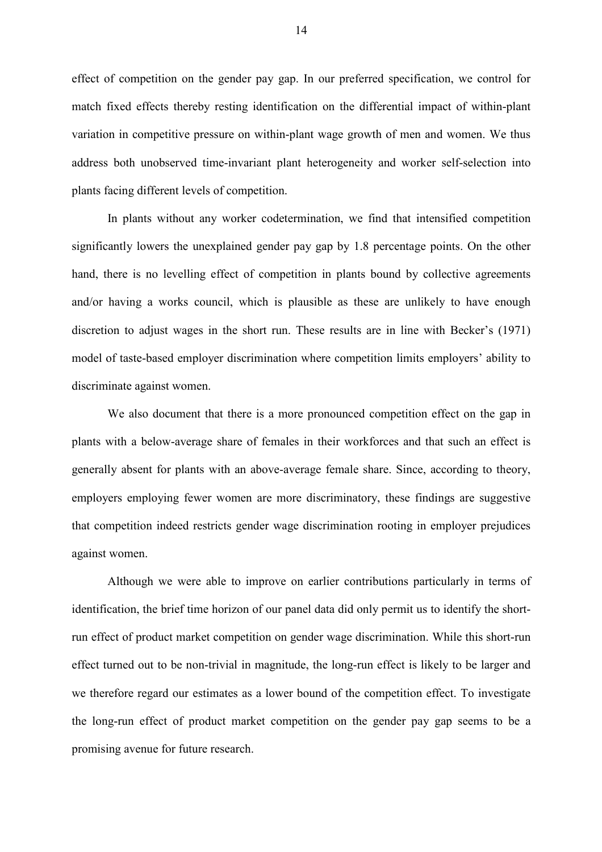effect of competition on the gender pay gap. In our preferred specification, we control for match fixed effects thereby resting identification on the differential impact of within-plant variation in competitive pressure on within-plant wage growth of men and women. We thus address both unobserved time-invariant plant heterogeneity and worker self-selection into plants facing different levels of competition.

In plants without any worker codetermination, we find that intensified competition significantly lowers the unexplained gender pay gap by 1.8 percentage points. On the other hand, there is no levelling effect of competition in plants bound by collective agreements and/or having a works council, which is plausible as these are unlikely to have enough discretion to adjust wages in the short run. These results are in line with Becker's (1971) model of taste-based employer discrimination where competition limits employers' ability to discriminate against women.

We also document that there is a more pronounced competition effect on the gap in plants with a below-average share of females in their workforces and that such an effect is generally absent for plants with an above-average female share. Since, according to theory, employers employing fewer women are more discriminatory, these findings are suggestive that competition indeed restricts gender wage discrimination rooting in employer prejudices against women.

Although we were able to improve on earlier contributions particularly in terms of identification, the brief time horizon of our panel data did only permit us to identify the shortrun effect of product market competition on gender wage discrimination. While this short-run effect turned out to be non-trivial in magnitude, the long-run effect is likely to be larger and we therefore regard our estimates as a lower bound of the competition effect. To investigate the long-run effect of product market competition on the gender pay gap seems to be a promising avenue for future research.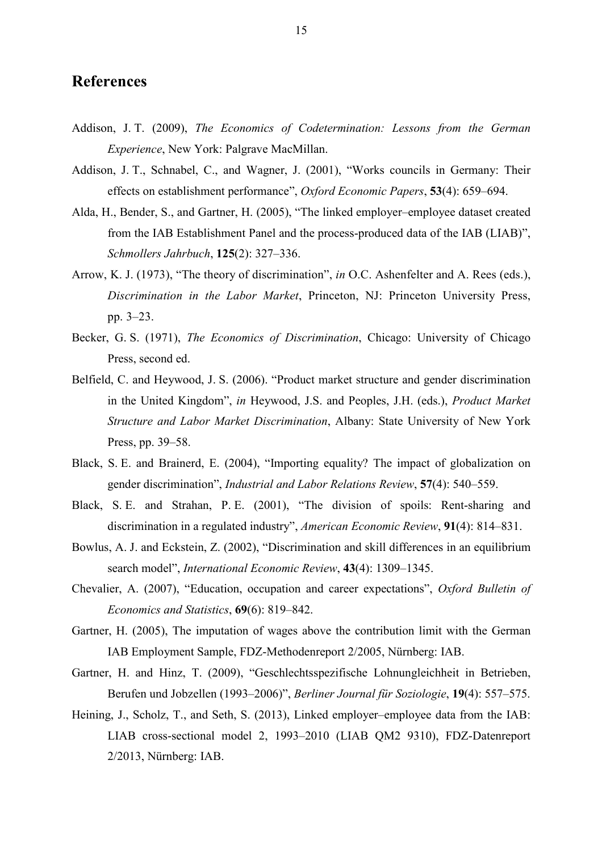### **References**

- Addison, J. T. (2009), *The Economics of Codetermination: Lessons from the German Experience*, New York: Palgrave MacMillan.
- Addison, J. T., Schnabel, C., and Wagner, J. (2001), "Works councils in Germany: Their effects on establishment performance", *Oxford Economic Papers*, **53**(4): 659–694.
- Alda, H., Bender, S., and Gartner, H. (2005), "The linked employer–employee dataset created from the IAB Establishment Panel and the process-produced data of the IAB (LIAB)", *Schmollers Jahrbuch*, **125**(2): 327–336.
- Arrow, K. J. (1973), "The theory of discrimination", *in* O.C. Ashenfelter and A. Rees (eds.), *Discrimination in the Labor Market*, Princeton, NJ: Princeton University Press, pp. 3–23.
- Becker, G. S. (1971), *The Economics of Discrimination*, Chicago: University of Chicago Press, second ed.
- Belfield, C. and Heywood, J. S. (2006). "Product market structure and gender discrimination in the United Kingdom", *in* Heywood, J.S. and Peoples, J.H. (eds.), *Product Market Structure and Labor Market Discrimination*, Albany: State University of New York Press, pp. 39–58.
- Black, S. E. and Brainerd, E. (2004), "Importing equality? The impact of globalization on gender discrimination", *Industrial and Labor Relations Review*, **57**(4): 540–559.
- Black, S. E. and Strahan, P. E. (2001), "The division of spoils: Rent-sharing and discrimination in a regulated industry", *American Economic Review*, **91**(4): 814–831.
- Bowlus, A. J. and Eckstein, Z. (2002), "Discrimination and skill differences in an equilibrium search model", *International Economic Review*, **43**(4): 1309–1345.
- Chevalier, A. (2007), "Education, occupation and career expectations", *Oxford Bulletin of Economics and Statistics*, **69**(6): 819–842.
- Gartner, H. (2005), The imputation of wages above the contribution limit with the German IAB Employment Sample, FDZ-Methodenreport 2/2005, Nürnberg: IAB.
- Gartner, H. and Hinz, T. (2009), "Geschlechtsspezifische Lohnungleichheit in Betrieben, Berufen und Jobzellen (1993–2006)", *Berliner Journal für Soziologie*, **19**(4): 557–575.
- Heining, J., Scholz, T., and Seth, S. (2013), Linked employer–employee data from the IAB: LIAB cross-sectional model 2, 1993–2010 (LIAB QM2 9310), FDZ-Datenreport 2/2013, Nürnberg: IAB.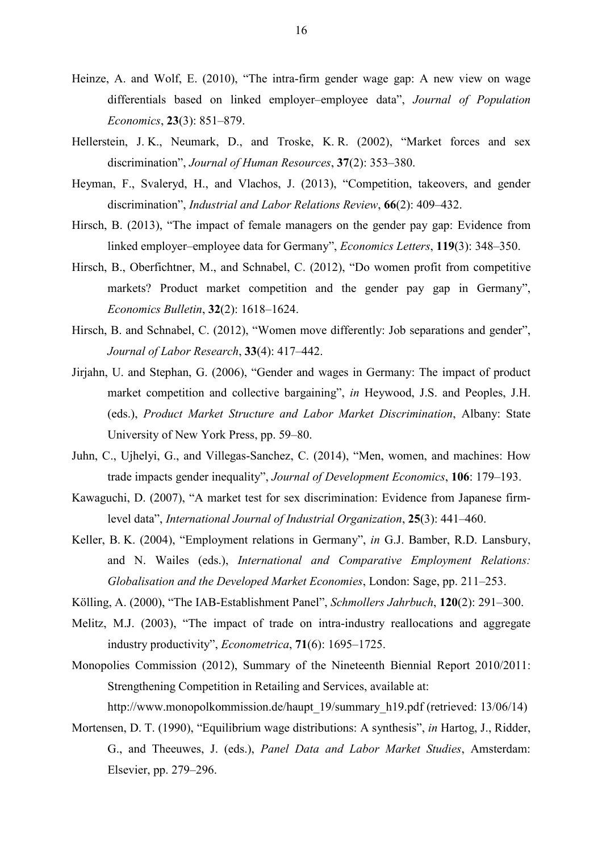- Heinze, A. and Wolf, E. (2010), "The intra-firm gender wage gap: A new view on wage differentials based on linked employer–employee data", *Journal of Population Economics*, **23**(3): 851–879.
- Hellerstein, J. K., Neumark, D., and Troske, K. R. (2002), "Market forces and sex discrimination", *Journal of Human Resources*, **37**(2): 353–380.
- Heyman, F., Svaleryd, H., and Vlachos, J. (2013), "Competition, takeovers, and gender discrimination", *Industrial and Labor Relations Review*, **66**(2): 409–432.
- Hirsch, B. (2013), "The impact of female managers on the gender pay gap: Evidence from linked employer–employee data for Germany", *Economics Letters*, **119**(3): 348–350.
- Hirsch, B., Oberfichtner, M., and Schnabel, C. (2012), "Do women profit from competitive markets? Product market competition and the gender pay gap in Germany", *Economics Bulletin*, **32**(2): 1618–1624.
- Hirsch, B. and Schnabel, C. (2012), "Women move differently: Job separations and gender". *Journal of Labor Research*, **33**(4): 417–442.
- Jirjahn, U. and Stephan, G. (2006), "Gender and wages in Germany: The impact of product market competition and collective bargaining", *in* Heywood, J.S. and Peoples, J.H. (eds.), *Product Market Structure and Labor Market Discrimination*, Albany: State University of New York Press, pp. 59–80.
- Juhn, C., Ujhelyi, G., and Villegas-Sanchez, C. (2014), "Men, women, and machines: How trade impacts gender inequality", *Journal of Development Economics*, **106**: 179–193.
- Kawaguchi, D. (2007), "A market test for sex discrimination: Evidence from Japanese firmlevel data", *International Journal of Industrial Organization*, **25**(3): 441–460.
- Keller, B. K. (2004), "Employment relations in Germany", *in* G.J. Bamber, R.D. Lansbury, and N. Wailes (eds.), *International and Comparative Employment Relations: Globalisation and the Developed Market Economies*, London: Sage, pp. 211–253.
- Kölling, A. (2000), "The IAB-Establishment Panel", *Schmollers Jahrbuch*, **120**(2): 291–300.
- Melitz, M.J. (2003), "The impact of trade on intra-industry reallocations and aggregate industry productivity", *Econometrica*, **71**(6): 1695–1725.
- Monopolies Commission (2012), Summary of the Nineteenth Biennial Report 2010/2011: Strengthening Competition in Retailing and Services, available at:

http://www.monopolkommission.de/haupt\_19/summary\_h19.pdf (retrieved: 13/06/14)

Mortensen, D. T. (1990), "Equilibrium wage distributions: A synthesis", *in* Hartog, J., Ridder, G., and Theeuwes, J. (eds.), *Panel Data and Labor Market Studies*, Amsterdam: Elsevier, pp. 279–296.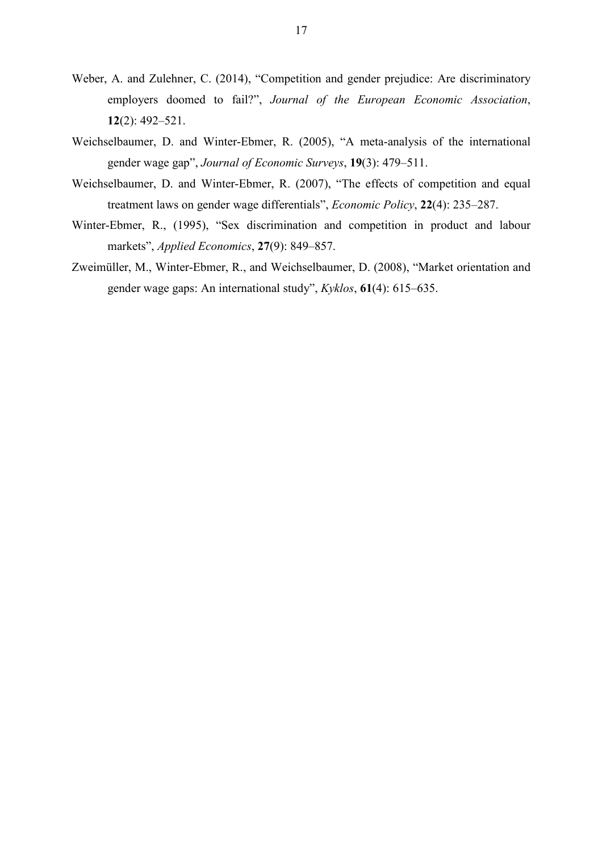- Weber, A. and Zulehner, C. (2014), "Competition and gender prejudice: Are discriminatory employers doomed to fail?", *Journal of the European Economic Association*, **12**(2): 492–521.
- Weichselbaumer, D. and Winter-Ebmer, R. (2005), "A meta-analysis of the international gender wage gap", *Journal of Economic Surveys*, **19**(3): 479–511.
- Weichselbaumer, D. and Winter-Ebmer, R. (2007), "The effects of competition and equal treatment laws on gender wage differentials", *Economic Policy*, **22**(4): 235–287.
- Winter-Ebmer, R., (1995), "Sex discrimination and competition in product and labour markets", *Applied Economics*, **27**(9): 849–857.
- Zweimüller, M., Winter-Ebmer, R., and Weichselbaumer, D. (2008), "Market orientation and gender wage gaps: An international study", *Kyklos*, **61**(4): 615–635.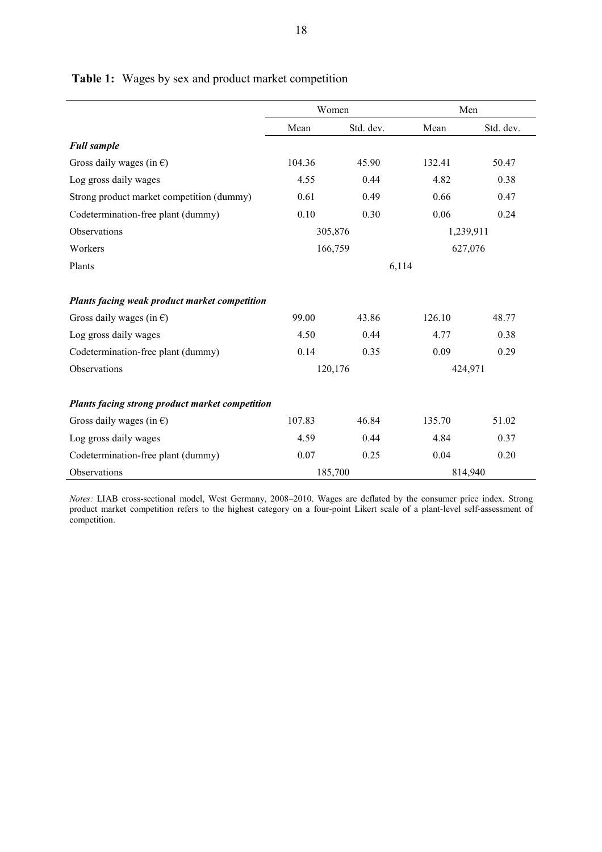|                                                 | Women                |           | Men     |           |
|-------------------------------------------------|----------------------|-----------|---------|-----------|
|                                                 | Mean                 | Std. dev. | Mean    | Std. dev. |
| <b>Full sample</b>                              |                      |           |         |           |
| Gross daily wages (in $\epsilon$ )              | 104.36               | 45.90     | 132.41  | 50.47     |
| Log gross daily wages                           | 4.55                 | 0.44      | 4.82    | 0.38      |
| Strong product market competition (dummy)       | 0.61                 | 0.49      | 0.66    | 0.47      |
| Codetermination-free plant (dummy)              | 0.10                 | 0.30      | 0.06    | 0.24      |
| Observations                                    | 305,876<br>1,239,911 |           |         |           |
| Workers                                         | 166,759<br>627,076   |           |         |           |
| Plants                                          |                      | 6,114     |         |           |
|                                                 |                      |           |         |           |
| Plants facing weak product market competition   |                      |           |         |           |
| Gross daily wages (in $\epsilon$ )              | 99.00                | 43.86     | 126.10  | 48.77     |
| Log gross daily wages                           | 4.50                 | 0.44      | 4.77    | 0.38      |
| Codetermination-free plant (dummy)              | 0.14                 | 0.35      | 0.09    | 0.29      |
| Observations                                    |                      | 120,176   | 424,971 |           |
| Plants facing strong product market competition |                      |           |         |           |
| Gross daily wages (in $\epsilon$ )              | 107.83               | 46.84     | 135.70  | 51.02     |
| Log gross daily wages                           | 4.59                 | 0.44      | 4.84    | 0.37      |
| Codetermination-free plant (dummy)              | 0.07                 | 0.25      | 0.04    | 0.20      |
| Observations                                    |                      | 185,700   |         | 814,940   |

Table 1: Wages by sex and product market competition

*Notes:* LIAB cross-sectional model, West Germany, 2008–2010. Wages are deflated by the consumer price index. Strong product market competition refers to the highest category on a four-point Likert scale of a plant-level self-assessment of competition.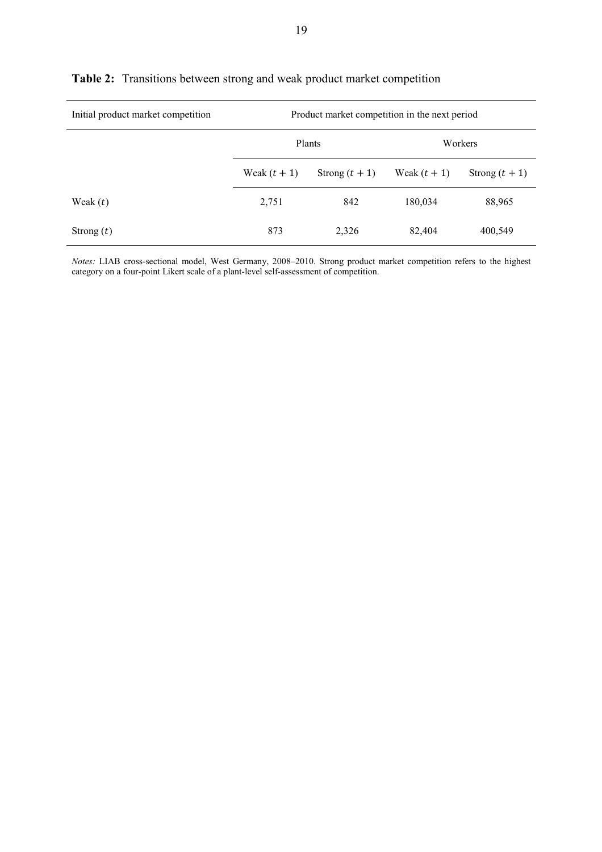| Initial product market competition | Product market competition in the next period |                  |                |                  |
|------------------------------------|-----------------------------------------------|------------------|----------------|------------------|
|                                    |                                               | Plants           |                | Workers          |
|                                    | Weak $(t + 1)$                                | Strong $(t + 1)$ | Weak $(t + 1)$ | Strong $(t + 1)$ |
| Weak $(t)$                         | 2,751                                         | 842              | 180,034        | 88,965           |
| Strong $(t)$                       | 873                                           | 2,326            | 82,404         | 400,549          |

#### **Table 2:** Transitions between strong and weak product market competition

*Notes:* LIAB cross-sectional model, West Germany, 2008–2010. Strong product market competition refers to the highest category on a four-point Likert scale of a plant-level self-assessment of competition.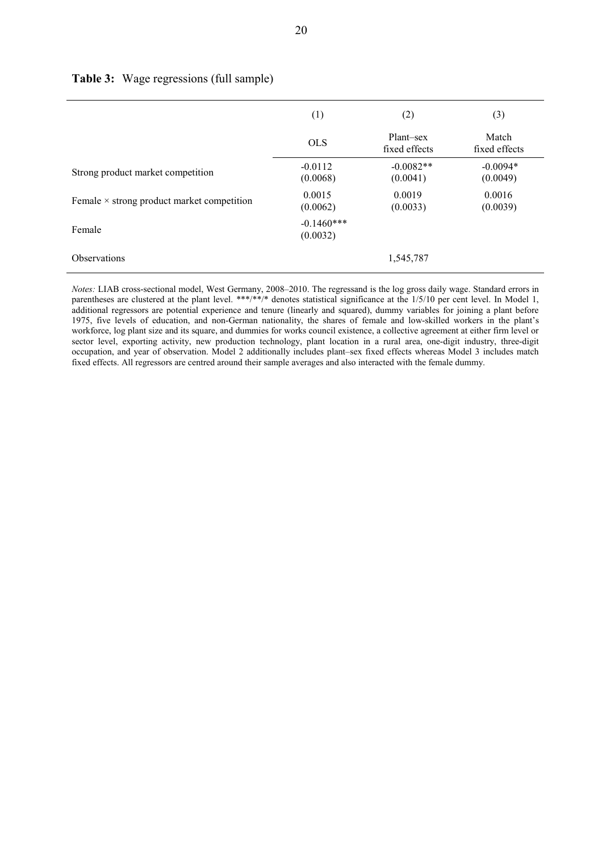|                                                   | (1)                      | (2)                        |                        |
|---------------------------------------------------|--------------------------|----------------------------|------------------------|
|                                                   | <b>OLS</b>               | Plant-sex<br>fixed effects | Match<br>fixed effects |
| Strong product market competition                 | $-0.0112$<br>(0.0068)    | $-0.0082**$<br>(0.0041)    | $-0.0094*$<br>(0.0049) |
| Female $\times$ strong product market competition | 0.0015<br>(0.0062)       | 0.0019<br>(0.0033)         | 0.0016<br>(0.0039)     |
| Female                                            | $-0.1460***$<br>(0.0032) |                            |                        |
| <b>Observations</b>                               |                          | 1,545,787                  |                        |

#### **Table 3:** Wage regressions (full sample)

*Notes:* LIAB cross-sectional model, West Germany, 2008–2010. The regressand is the log gross daily wage. Standard errors in parentheses are clustered at the plant level. \*\*\*/\*\*/\* denotes statistical significance at the 1/5/10 per cent level. In Model 1, additional regressors are potential experience and tenure (linearly and squared), dummy variables for joining a plant before 1975, five levels of education, and non-German nationality, the shares of female and low-skilled workers in the plant's workforce, log plant size and its square, and dummies for works council existence, a collective agreement at either firm level or sector level, exporting activity, new production technology, plant location in a rural area, one-digit industry, three-digit occupation, and year of observation. Model 2 additionally includes plant–sex fixed effects whereas Model 3 includes match fixed effects. All regressors are centred around their sample averages and also interacted with the female dummy.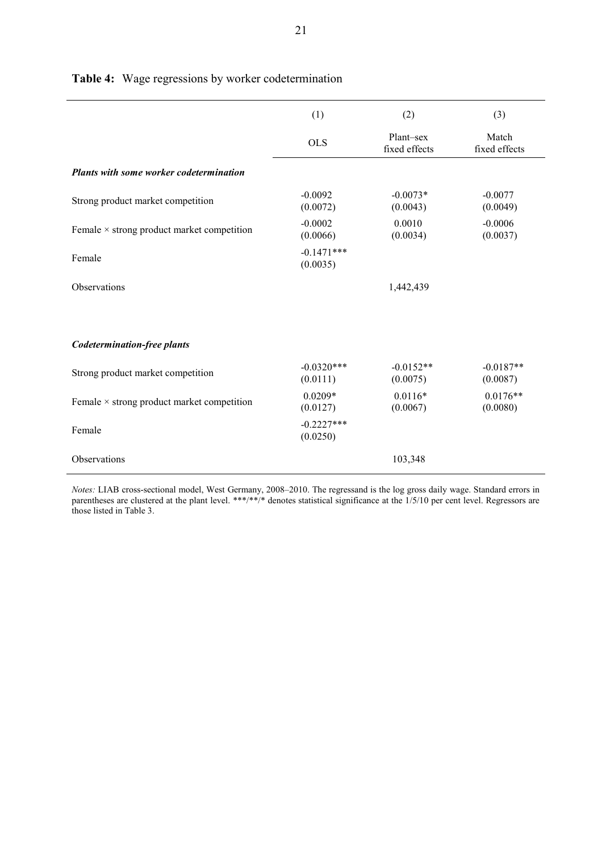|                                                   | (1)                      | (2)                        | (3)                     |
|---------------------------------------------------|--------------------------|----------------------------|-------------------------|
|                                                   | <b>OLS</b>               | Plant-sex<br>fixed effects | Match<br>fixed effects  |
| <b>Plants with some worker codetermination</b>    |                          |                            |                         |
| Strong product market competition                 | $-0.0092$<br>(0.0072)    | $-0.0073*$<br>(0.0043)     | $-0.0077$<br>(0.0049)   |
| Female $\times$ strong product market competition | $-0.0002$<br>(0.0066)    | 0.0010<br>(0.0034)         | $-0.0006$<br>(0.0037)   |
| Female                                            | $-0.1471***$<br>(0.0035) |                            |                         |
| <b>Observations</b>                               |                          | 1,442,439                  |                         |
|                                                   |                          |                            |                         |
| <b>Codetermination-free plants</b>                |                          |                            |                         |
| Strong product market competition                 | $-0.0320***$<br>(0.0111) | $-0.0152**$<br>(0.0075)    | $-0.0187**$<br>(0.0087) |
| Female $\times$ strong product market competition | $0.0209*$<br>(0.0127)    | $0.0116*$<br>(0.0067)      | $0.0176**$<br>(0.0080)  |
| Female                                            | $-0.2227***$<br>(0.0250) |                            |                         |
| Observations                                      |                          | 103,348                    |                         |

**Table 4:** Wage regressions by worker codetermination

*Notes:* LIAB cross-sectional model, West Germany, 2008–2010. The regressand is the log gross daily wage. Standard errors in parentheses are clustered at the plant level. \*\*\*/\*\*/\* denotes statistical significance at the 1/5/10 per cent level. Regressors are those listed in Table 3.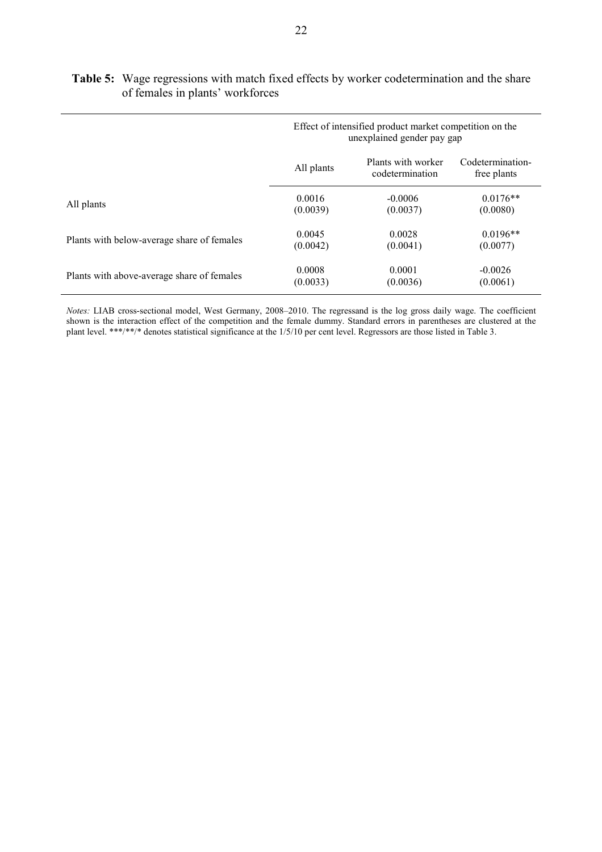|                                            |            | Effect of intensified product market competition on the<br>unexplained gender pay gap |                                 |
|--------------------------------------------|------------|---------------------------------------------------------------------------------------|---------------------------------|
|                                            | All plants | Plants with worker<br>codetermination                                                 | Codetermination-<br>free plants |
| All plants                                 | 0.0016     | $-0.0006$                                                                             | $0.0176**$                      |
|                                            | (0.0039)   | (0.0037)                                                                              | (0.0080)                        |
| Plants with below-average share of females | 0.0045     | 0.0028                                                                                | $0.0196**$                      |
|                                            | (0.0042)   | (0.0041)                                                                              | (0.0077)                        |
| Plants with above-average share of females | 0.0008     | 0.0001                                                                                | $-0.0026$                       |
|                                            | (0.0033)   | (0.0036)                                                                              | (0.0061)                        |

#### **Table 5:** Wage regressions with match fixed effects by worker codetermination and the share of females in plants' workforces

*Notes:* LIAB cross-sectional model, West Germany, 2008–2010. The regressand is the log gross daily wage. The coefficient shown is the interaction effect of the competition and the female dummy. Standard errors in parentheses are clustered at the plant level. \*\*\*/\*\*/\* denotes statistical significance at the 1/5/10 per cent level. Regressors are those listed in Table 3.